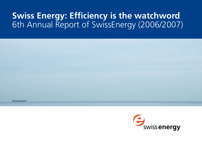# **Swiss Energy: Efficiency is the watchword** 6th Annual Report of SwissEnergy (2006/2007)



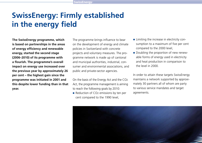# **SwissEnergy: Firmly established in the energy field**

**The SwissEnergy programme, which is based on partnerships in the areas of energy efficiency and renewable energy, started the second stage (2006–2010) of its programme with a flourish. The programme's overall impact on energy use increased over the previous year by approximately 26 per cent – the highest gain since the programme was initiated in 2001 and this despite lower funding than in that year.**

The programme brings influence to bear on the development of energy and climate policies in Switzerland with concrete projects and voluntary measures. The programme network is made up of cantonal and municipal authorities, industrial, consumer and environmental associations, and public and private-sector agencies.

On the basis of the Energy Act and the CO2 Act, the programme management is aiming to reach the following goals by 2010:

Reduction of CO<sub>2</sub> emissions by ten per cent compared to the 1990 level,

- **Example 1** Limiting the increase in electricity consumption to a maximum of five per cent compared to the 2000 level,
- Doubling the proportion of new renewable forms of energy used in electricity and heat production in comparison to the level in 2000.

In order to attain these targets SwissEnergy maintains a network supported by approximately 30 partners all of whom are party to various service mandates and target agreements.

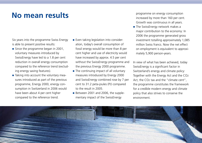# **No mean results**

Six years into the programme Swiss Energy is able to present positive results:

- $\blacksquare$  Since the programme began in 2001, voluntary measures introduced by SwissEnergy have led to a 1.8 per cent reduction in overall energy consumption compared to the reference trend (excluding energy saving features).
- Taking into account the voluntary measures introduced as part of the previous programme, Energy 2000, energy consumption in Switzerland in 2006 would have been about 4 per cent higher compared to the reference trend.
- **Even taking legislation into consider**ation, today's overall consumption of fossil energy would be more than 8 per cent higher and use of electricity would have increased by approx. 4.5 per cent without the SwissEnergy programme and the previous Energy 2000 programme.
- $\blacksquare$  The continuing impact of all voluntary measures introduced by Energy 2000 and SwissEnergy combined rose by 7 per cent to 31.2 peta-joules (PJ) compared to the result in 2005.
- Between 2001 and 2006, the supplementary impact of the SwissEnergy

programme on energy consumption increased by more than 160 per cent. Growth was continuous in all years.

The SwissEnergy network makes a major contribution to the economy: In 2006 the programme generated gross investment totalling approximately 1,085 million Swiss francs. Now the net effect on employment is equivalent to approximately 5,900 person-years.

In view of what has been achieved, today SwissEnergy is a significant factor in Switzerland's energy and climate policy: Together with the Energy Act and the CO2 Act, the CO2 tax and the "climate cent", the programme constitutes the framework for a credible modern energy and climate policy that also strives to conserve the environment.

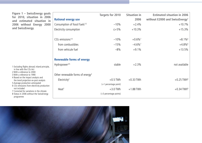**Figure 1 – SwissEnergy goals for 2010, situation in 2006 and estimated situation in 2006 without Energy 2000 and SwissEnergy.**

1 Excluding flights abroad; inland principle, in line with the CO2 Act 2 With a reference to 2000 3 With a reference to 1990 4 Based on the impact analysis and the trend projection ex-post analysis 5 Average production anticipated 6 CO2 emissions from electricity production not included 7 Corrected for variations in the climate 8 Status in 2006 without the SwissEnergy programme

|                                              | <b>Situation in</b><br>Targets for 2010 |                       | <b>Estimated situation in 2006</b>         |
|----------------------------------------------|-----------------------------------------|-----------------------|--------------------------------------------|
| <b>Rational energy use</b>                   |                                         | 2006                  | without E2000 and SwissEnergy <sup>4</sup> |
| Consumption of fossil fuels <sup>1/2</sup>   | $-10%$                                  | $+2.4%$               | $+10.7%$                                   |
| Electricity consumption                      | $\leq +5\%$                             | $+10.3%$              | $+15.3%$                                   |
|                                              |                                         |                       |                                            |
| $CO2$ emissions <sup>1/3</sup>               | $-10%$                                  | $+0.6\%$ <sup>7</sup> | $+8.1\%$ <sup>6</sup>                      |
| from combustibles                            | $-15%$                                  | $-4.6\%$ <sup>7</sup> | $+4.8\%$ <sup>6</sup>                      |
| from vehicule fuel                           | $-8%$                                   | $+9.1%$               | $+13.5%$                                   |
| <b>Renewable forms of energy</b>             |                                         |                       |                                            |
| Hydropower <sup>2/5</sup>                    | stable                                  | $+2.3%$               | not available                              |
| Other renewable forms of energy <sup>2</sup> |                                         |                       |                                            |
| Electricity <sup>2</sup>                     | $+0.5$ TWh                              | $+0.33$ TWh           | $+0.25$ TWh <sup>8</sup>                   |
|                                              | (+1 percentage point)                   |                       |                                            |
| Heat <sup>2</sup>                            | $+3.0$ TWh                              | $+1.88$ TWh           | $+0.34$ TWh <sup>8</sup>                   |
|                                              | (+3 percentage points)                  |                       |                                            |

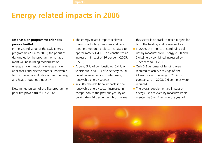# **Energy related impacts in 2006**

### **Emphasis on programme priorities proves fruitful**

In the second stage of the SwissEnergy programme (2006 to 2010) the priorities designated by the programme management will be building modernisation, energy efficient mobility, energy efficient appliances and electric motors, renewable forms of energy and rational use of energy and heat throughout industry.

Determined pursuit of the five programme priorities proved fruitful in 2006:

- The energy-related impact achieved through voluntary measures and cantonal promotional projects increased to approximately 4.4 PJ. This constitutes an increase in impact of 26 per cent (2005: 3.5 PJ).
- Around 3 PJ of combustibles, 0.4 PJ of vehicle fuel and 1 PJ of electricity could be either saved or substituted using renewable energy sources.
- $\blacksquare$  In 2006, the additional impacts in the renewable energy sector increased in comparison to the previous year by approximately 34 per cent – which means

this sector is on track to reach targets for both the heating and power sectors.

- In 2006, the impact of continuing voluntary measures from Energy 2000 and SwissEnergy combined increased by 7 per cent to 31.2 PJ.
- Only 0.2 centimes of funding were required to achieve savings of one kilowatt-hour of energy in 2006. In comparison, in 2003, 0.6 centimes were required.
- $\blacksquare$  The overall supplementary impact on energy use achieved by measures implemented by SwissEnergy in the year of

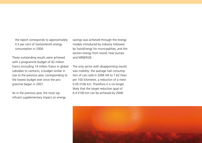the report corresponds to approximately 0.5 per cent of Switzerland's energy consumption in 2006.

These outstanding results were achieved with a programme budget of 42 million francs (including 14 million francs in global subsidies to cantons), a budget similar in size to the previous year, corresponding to the lowest budget ever since the programme began in 2001.

As in the previous year, the most significant supplementary impact on energy savings was achieved through the energy models introduced by industry followed by SwissEnergy for municipalities, and the sectors energy from wood, heat pumps and MINERGIE.

The only sector with disappointing results was mobility: the average fuel consumption of cars sold in 2006 fell to 7.62 litres per 100 kilometre, a reduction of a mere 0.05 l/100 km. Therefore it is no longer likely that the target reduction goal of 6.4 l/100 km can be achieved by 2008.

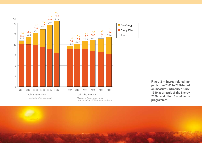

**Figure 2 – Energy related impacts from 2001 to 2006 based on measures introduced since 1990 as a result of the Energy 2000 and the SwissEnergy programmes.**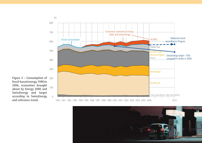

**Figure 3 – Consumption of**  200 **fossil-based energy, 1990 to 2006, economies brought about by Energy 2000 and SwissEnergy and target according to SwissEnergy and reference trend.**

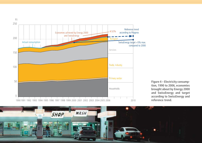



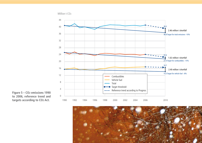

**Figure 5 – CO2 emissions 1990 to 2006, reference trend and targets according to CO2 Act.**

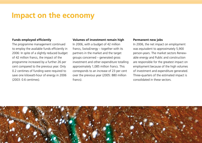# **Impact on the economy**

### **Funds employed efficiently**

The programme management continued to employ the available funds efficiently in 2006: In spite of a slightly reduced budget of 42 million francs, the impact of the programme increased by a further 26 per cent compared to the previous year. Only 0.2 centimes of funding were required to save one kilowatt-hour of energy in 2006 (2003: 0.6 centimes).

### **Volumes of investment remain high**

In 2006, with a budget of 42 million francs, SwissEnergy – together with its partners in the market and the target groups concerned – generated gross investment and other expenditure totalling approximately 1,085 million francs. This corresponds to an increase of 23 per cent over the previous year (2005: 880 million francs).

#### **Permanent new jobs**

In 2006, the net impact on employment was equivalent to approximately 5,900 person-years. The market sectors Renewable energy and Public and construction are responsible for the greatest impact on employment because of the high volumes of investment and expenditure generated. Three-quarters of the estimated impact is consolidated in these sectors.

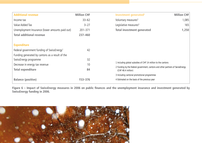| <b>Additional revenue</b>                              | <b>Million CHF</b> | <b>Million CHF</b><br>Investment generated <sup>2</sup>                                              |       |
|--------------------------------------------------------|--------------------|------------------------------------------------------------------------------------------------------|-------|
| Income tax                                             | $33 - 62$          | Voluntary measures <sup>3</sup>                                                                      | 1,085 |
| Value Added Tax                                        | $3 - 27$           | Legislative measures <sup>4</sup>                                                                    | 165   |
| Unemployment Insurance (lower amounts paid out)        | $201 - 371$        | Total investment generated                                                                           | 1,250 |
| <b>Total additional revenue</b>                        | $237 - 460$        |                                                                                                      |       |
|                                                        |                    |                                                                                                      |       |
| <b>Expenditure</b>                                     |                    |                                                                                                      |       |
| Federal government funding of SwissEnergy <sup>1</sup> | 42                 |                                                                                                      |       |
| Funding generated by cantons as a result of the        |                    |                                                                                                      |       |
| SwissEnergy programme                                  | 32                 |                                                                                                      |       |
| Decrease in energy tax revenue                         | 10                 | 1 Including global subsidies of CHF 14 million to the cantons                                        |       |
| <b>Total expenditure</b>                               | 84                 | 2 Funding by the federal government, cantons and other partners of SwissEnergy<br>(CHF 48.4 million) |       |
|                                                        |                    | 3 Including cantonal promotional programmes                                                          |       |
| <b>Balance (positive)</b>                              | 153-376            | 4 Estimated on the basis of the previous year                                                        |       |

**Figure 6 – Impact of SwissEnergy measures in 2006 on public finances and the unemployment insurance and investment generated by SwissEnergy funding in 2006.**

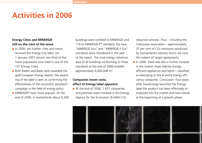# **Activities in 2006**

### **Energy Cities and MINERGIE still on the crest of the wave**

- $\blacksquare$  In 2006, ten further cities and towns received the Energy City label. On 1 January 2007 almost one third of the Swiss population now lived in one of the 137 Energy Cities.
- **Both Baden and Basle were awarded the** gold European Energy Award. The awarding of the label is seen as confirming the effectiveness of the successful, persistent campaign in the field of energy policy.
- MINERGIE<sup>®</sup> even more popular: At the end of 2006, in Switzerland, about 6,300

buildings were certified to MINERGIE and 116 to MINERGIE-P<sup>®</sup> standard; the new "MINERGIE Eco" and "MINERGIE P Eco" standards were introduced in the year of the report. The total energy reference area of all buildings conforming to these standards at the end of 2006 totalled approximately  $6,000,000$  m<sup>2</sup>.

### **Companies lower costs, effect of Energy label apparent**

At the end of 2006, 1,657 companies and premises were involved in the Energy Agency for the Economy's (EnAW) CO2

reduction process. Thus – including the Cemsuisse association – approximately 37 per cent of CO2 emissions produced by Switzerland's industry sector are now the subject of target agreements.

 $\blacksquare$  In 2006, there was also a further increase in the market share held by energyefficient appliances and lights – classified as belonging to the A and B energy efficiency categories. Conclusion: Four years after SwissEnergy launched the Energy label the product has been effectively introduced into the market and now stands at the beginning of a growth phase.

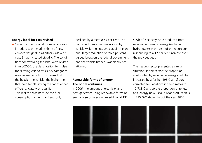### **Energy label for cars revised**

Since the Energy label for new cars was introduced, the market share of new vehicles designated as either class A or class B has increased steadily. The conditions for awarding the label were revised in mid-2006: the classification formulae for allotting cars to efficiency categories were revised which now means that the heavier the vehicle, the higher the threshold for classifying the car as either efficiency class A or class B. This makes sense because the fuel consumption of new car fleets only

declined by a mere 0.65 per cent. The gain in efficiency was mainly lost by vehicle weight gains. Once again the annual target reduction of three per cent, agreed between the federal government and the vehicle branch, was clearly not attained.

### **Renewable forms of energy: The boom continues**

In 2006, the amount of electricity and heat generated using renewable forms of energy rose once again: an additional 131 GWh of electricity were produced from renewable forms of energy (excluding hydropower) in the year of the report corresponding to a 12 per cent increase over the previous year.

The heating sector presented a similar situation: In this sector the proportion contributed by renewable energy could be increased by a further 498 GWh (figure corrected for variations in the climate) to 10,788 GWh, so the proportion of renewable energy now used in heat production is 1,885 GW above that of the year 2000.

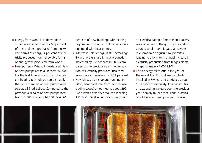- **Energy from wood is in demand: In** 2006, wood accounted for 55 per cent of the total heat produced from renewable forms of energy. 4 per cent of electricity produced from renewable forms of energy was produced from wood.
- $\blacksquare$  Heat pumps Who still needs one? Sales of heat pumps broke all records in 2006. For the first time in the history of modern heating technology, approximately the same numbers of heat pumps were sold as oil-fired boilers. Compared to the previous year sales of heat pumps rose from 12,000 to about 16,000. Over 70

per cent of new buildings with heating requirements of up to 20 kilowatts were equipped with heat pumps.

- $\blacksquare$  Interest in solar energy is still increasing: Solar energy's share in heat production increased by 5.2 per cent in 2006 compared to the previous year; the proportion of electricity produced increased even more impressively by 17.1 per cent.
- New biogas plants up and running: In 2006, heat produced from biomass (excluding wood) amounted to about 299 GWh with electricity produced reaching 155 GWh. Twelve new plants, each with

an electrical rating of more than 100 kW, were attached to the grid. By the end of 2006, a total of 84 biogas plants were in operation on agricultural premises leading to a long-term annual increase in electricity production from biogas plants of approximately 7,000 MWh.

Wind energy takes off: In the year of the report the 34 wind energy plants installed in Switzerland produced about 15.3 GWh of electricity. This constitutes an astounding increase over the previous year, namely 82 per cent. Thus, practical proof has now been provided showing

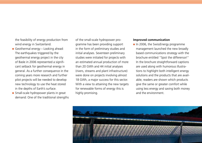the feasibility of energy production from wind energy in Switzerland.

- Geothermal energy Looking ahead: The earthquakes triggered by the geothermal energy project in the city of Basle in 2006 represented a significant setback for geothermal energy in general. As a further consequence in the coming years more research and further pilot projects will be needed to develop new technology to use the heat stored in the depths of Earth's surface.
- Small-scale hydropower plants in great demand: One of the traditional strengths

of the small-scale hydropower programme has been providing support in the form of preliminary studies and initial analyses. Seventeen preliminary studies were initiated for projects with an estimated annual production of more than 20 GWh and 44 initial analyses (rivers, streams and plant infrastructure) were done on projects involving almost 18 GWh, a major success for this sector. With a view to attaining the new targets for renewable forms of energy this is highly promising.

#### **Improved communication**

 $\blacksquare$  In 2006, the SwissEnergy programme management launched the new broadly based communications strategy with the brochure entitled "Spot the difference!" In the brochure straightforward captions are used along with humorous illustrations to highlight both intelligent energy solutions and the products that are available; readers are shown which products give the same or greater comfort while using less energy and saving both money and the environment.

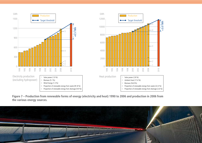



**Figure 7 – Production from renewable forms of energy (electricity and heat) 1990 to 2006 and production in 2006 from the various energy sources.**

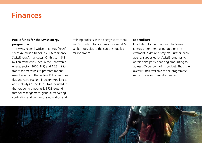# **Finances**

### **Public funds for the SwissEnergy programme**

The Swiss Federal Office of Energy (SFOE) spent 42 million francs in 2006 to finance SwissEnergy's mandates. Of this sum 6.8 million francs was used in the Renewable energy sector (2005: 8.7) and 15.3 million francs for measures to promote rational use of energy in the sectors Public authorities and construction, Industry, Appliances and mobility (2005: 15.1). Not included in the foregoing amounts is SFOE expenditure for management, general marketing, controlling and continuous education and

training projects in the energy sector totalling 5.7 million francs (previous year: 4.6). Global subsidies to the cantons totalled 14 million francs.

### **Expenditure**

In addition to the foregoing the Swiss-Energy programme generated private investment in definite projects. Further, each agency supported by SwissEnergy has to obtain third party financing amounting to at least 60 per cent of its budget. Thus, the overall funds available to the programme network are substantially greater.

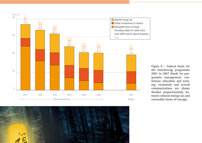



**Figure 8 – Federal funds for the SwissEnergy programme 2001 to 2007 (funds for pro gramme management, con tinuous education and train ing, evaluation and overall communications are shown divided proportionately be tween rational energy use and renewable forms of energy).**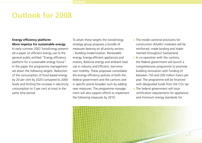# **Outlook for 2008**

### **Energy efficiency platform: More impetus for sustainable energy**

In early summer 2007 SwissEnergy presented a paper on efficient energy use to the general public entitled "Energy efficiency platform for a sustainable energy future". In the paper the programme management set down the following targets: Reduction of the consumption of fossil-based energy by 20 per cent by 2020 compared to 2000 levels and limiting the increase in electricity consumption to 5 per cent at most in the same time period.

To attain these targets the SwissEnergy strategy group proposes a bundle of measures bearing on all priority sectors – Building modernisation, Renewable energy, Energy-efficient appliances and motors, Rational energy and ambient heat use in industry and Efficient, low-emission mobility. These proposals consolidate the energy efficiency policies of both the federal government and the cantons and in specific points broaden such by adding new measures. The programme management will also support efforts to implement the following measures by 2010:

- $\blacksquare$  The model cantonal provisions for construction (MuKEn modules) will be reinforced, made binding and implemented throughout Switzerland.
- $\blacksquare$  In co-operation with the cantons, the federal government will launch a comprehensive programme to promote building renovation with funding of between 150 and 200 million francs per year. The programme will be financed with designated funds from the CO2 tax.
- $\blacksquare$  The federal government will issue certification requirements for appliances and minimum energy standards for

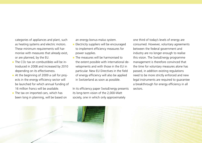categories of appliances and plant, such as heating systems and electric motors. These minimum requirements will harmonise with measures that already exist, or are planned, by the EU.

- $\Box$  The CO<sub>2</sub> tax on combustibles will be introduced in 2008 and increased by 2010 depending on its effectiveness.
- At the beginning of 2009 a call for projects in the energy efficiency sector will be launched for which annual funding of 16 million francs will be available.
- $\blacksquare$  The tax on imported cars, which has been long in planning, will be based on

an energy bonus-malus system.

- **Electricity suppliers will be encouraged** to implement efficiency measures for power supplies.
- **The measures will be harmonised to** the extent possible with international developments and with those in the EU in particular. New EU Directives in the field of energy efficiency will also be applied in Switzerland as soon as possible.

In its efficiency paper SwissEnergy presents its long-term vision of the 2,000-Watt society, one in which only approximately

one third of today's levels of energy are consumed. However, voluntary agreements between the federal government and industry are no longer enough to realise this vision. The SwissEnergy programme management is therefore convinced that the time for voluntary measures alone has passed, in addition existing regulations need to be more strictly enforced and new legal instruments are required to guarantee a breakthrough for energy efficiency in all sectors.



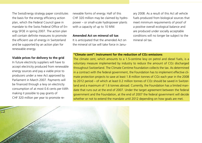The SwissEnergy strategy paper constitutes the basis for the energy efficiency action plan, which the Federal Council gave in mandate to the Swiss Federal Office of Energy SFOE in spring 2007. The action plan will contain definite measures to promote the efficient use of energy in Switzerland and be supported by an action plan for renewable energy.

#### **Viable prices for delivery to the grid**

In future electricity suppliers will have to accept electricity produced from renewable energy sources and pay a viable price to producers under a new Act approved by Parliament in March 2007. Payments will be financed through a levy on electricity consumption of at most 0.6 cents per kWh making it possible to pay grants of CHF 320 million per year to promote re-

newable forms of energy. Half of this CHF 320 million may be claimed by hydropower – or small-scale hydropower plants with a capacity of up to 10 MW.

### **Amended Act on mineral oil tax**

It is anticipated that the amended Act on the mineral oil tax will take force in January 2008. As a result of this Act all vehicle fuels produced from biological sources that meet minimum requirements of proof of a positive overall ecological balance and are produced under socially acceptable conditions will no longer be subject to the mineral oil tax.

### **"Climate cent": Instrument for the reduction of CO2 emissions**

The climate cent, which amounts to a 1.5-centime levy on petrol and diesel fuels, is a voluntary measure implemented by industry to reduce the amount of CO2 discharged throughout Switzerland. The Climate Centime Foundation collects the tax. As determined in a contract with the federal government, the Foundation has to implement effective climate protection projects to save at least 1.8 million tonnes of CO2 each year in the 2008 to 2012 period – of which at least 0.2 million tonnes of CO2 should be saved in Switzerland and a maximum of 1.6 tonnes abroad. Currently, the Foundation has a limited mandate that runs out at the end of 2007. Under the target agreement between the federal government and the Foundation, at the end of 2007 the federal government will decide whether or not to extend the mandate until 2012 depending on how goals are met.

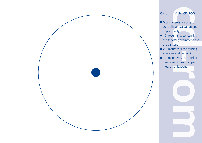

## **Contents of the CD-ROM**

- impact analysis
- **Example 15** documents relating to<br>
 5 documents relating to<br>
controlling, evaluation and<br>
impact analysis<br>
 10 documents concerning<br>
the federal government and<br>
the cantons<br>
 20 documents concerning<br>
agencies and netw ■ 10 documents concerning the federal government and the cantons
- 20 documents concerning agencies and networks
- 12 documents concerning towns and cities, companies, organisations